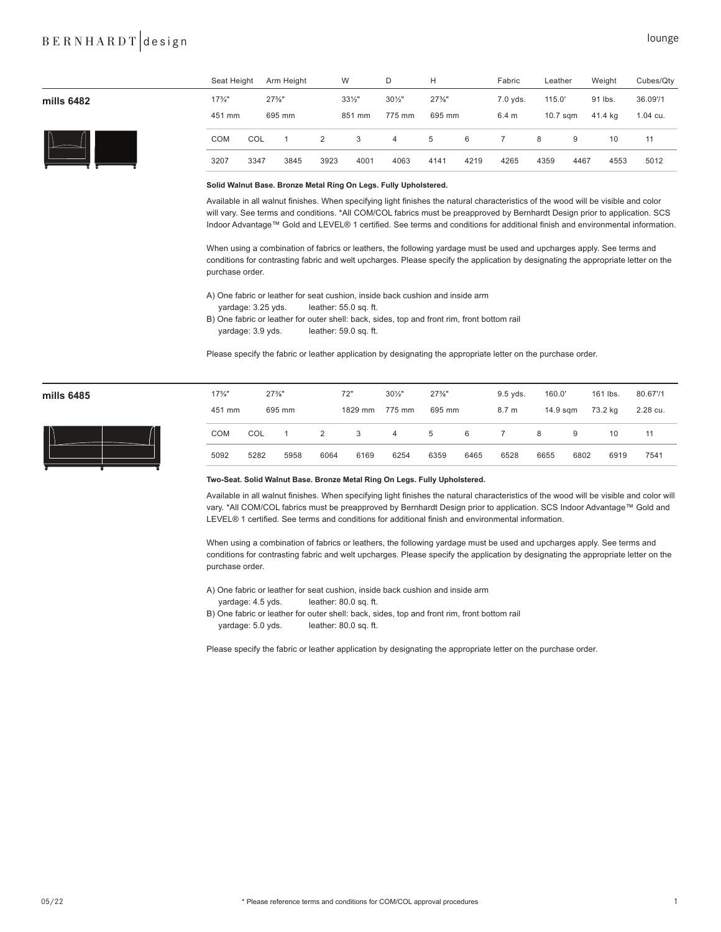# BERNHARDT design lounge

|              | Seat Height       |      | Arm Height |                      | W                 | D                 | н        |      | Fabric   | Leather    |      | Weight  | Cubes/Qty |
|--------------|-------------------|------|------------|----------------------|-------------------|-------------------|----------|------|----------|------------|------|---------|-----------|
| mills 6482   | $17\frac{3}{4}$ " |      | $27\%$ "   |                      | $33\frac{1}{2}$ " | $30\frac{1}{2}$ " | $27\%$ " |      | 7.0 yds. | 115.0'     |      | 91 lbs. | 36.09'/1  |
|              | 451 mm            |      | 695 mm     |                      | 851 mm            | 775 mm            | 695 mm   |      | 6.4 m    | $10.7$ sqm |      | 41.4 kg | 1.04 cu.  |
| $\mathsf{I}$ | <b>COM</b>        | COL  |            | $\mathbf{2}^{\circ}$ | 3                 | $\overline{4}$    | 5        | 6    |          | 8          | 9    | 10      | 11        |
|              | 3207              | 3347 | 3845       | 3923                 | 4001              | 4063              | 4141     | 4219 | 4265     | 4359       | 4467 | 4553    | 5012      |

## **Solid Walnut Base. Bronze Metal Ring On Legs. Fully Upholstered.**

Available in all walnut finishes. When specifying light finishes the natural characteristics of the wood will be visible and color will vary. See terms and conditions. \*All COM/COL fabrics must be preapproved by Bernhardt Design prior to application. SCS Indoor Advantage™ Gold and LEVEL® 1 certified. See terms and conditions for additional finish and environmental information.

When using a combination of fabrics or leathers, the following yardage must be used and upcharges apply. See terms and conditions for contrasting fabric and welt upcharges. Please specify the application by designating the appropriate letter on the purchase order.

A) One fabric or leather for seat cushion, inside back cushion and inside arm

- yardage: 3.25 yds. leather: 55.0 sq. ft.
- B) One fabric or leather for outer shell: back, sides, top and front rim, front bottom rail yardage: 3.9 yds. leather: 59.0 sq. ft.

Please specify the fabric or leather application by designating the appropriate letter on the purchase order.

| mills 6485 |  |
|------------|--|
|------------|--|



| mills 6485 | $17\frac{3}{4}$ " | $27\%$ " |        |      | 72"     | $30\frac{1}{2}$ " | $27\%$ " |      | 160.0'<br>$9.5$ yds. |          |      | 161 lbs. | 80.67'/1 |
|------------|-------------------|----------|--------|------|---------|-------------------|----------|------|----------------------|----------|------|----------|----------|
|            | 451 mm            |          | 695 mm |      | 1829 mm | 775 mm            | 695 mm   |      | 8.7 m                | 14.9 sgm |      | 73.2 kg  | 2.28 cu. |
| $\sqrt{2}$ | <b>COM</b>        | COL      |        | 2    | 3       | 4                 | 5        | 6    |                      | 8        | 9    | 10       | 11       |
|            | 5092              | 5282     | 5958   | 6064 | 6169    | 6254              | 6359     | 6465 | 6528                 | 6655     | 6802 | 6919     | 7541     |

## **Two-Seat. Solid Walnut Base. Bronze Metal Ring On Legs. Fully Upholstered.**

Available in all walnut finishes. When specifying light finishes the natural characteristics of the wood will be visible and color will vary. \*All COM/COL fabrics must be preapproved by Bernhardt Design prior to application. SCS Indoor Advantage™ Gold and LEVEL® 1 certified. See terms and conditions for additional finish and environmental information.

When using a combination of fabrics or leathers, the following yardage must be used and upcharges apply. See terms and conditions for contrasting fabric and welt upcharges. Please specify the application by designating the appropriate letter on the purchase order.

A) One fabric or leather for seat cushion, inside back cushion and inside arm

- yardage: 4.5 yds. leather: 80.0 sq. ft.
- B) One fabric or leather for outer shell: back, sides, top and front rim, front bottom rail yardage: 5.0 yds. leather: 80.0 sq. ft.

Please specify the fabric or leather application by designating the appropriate letter on the purchase order.